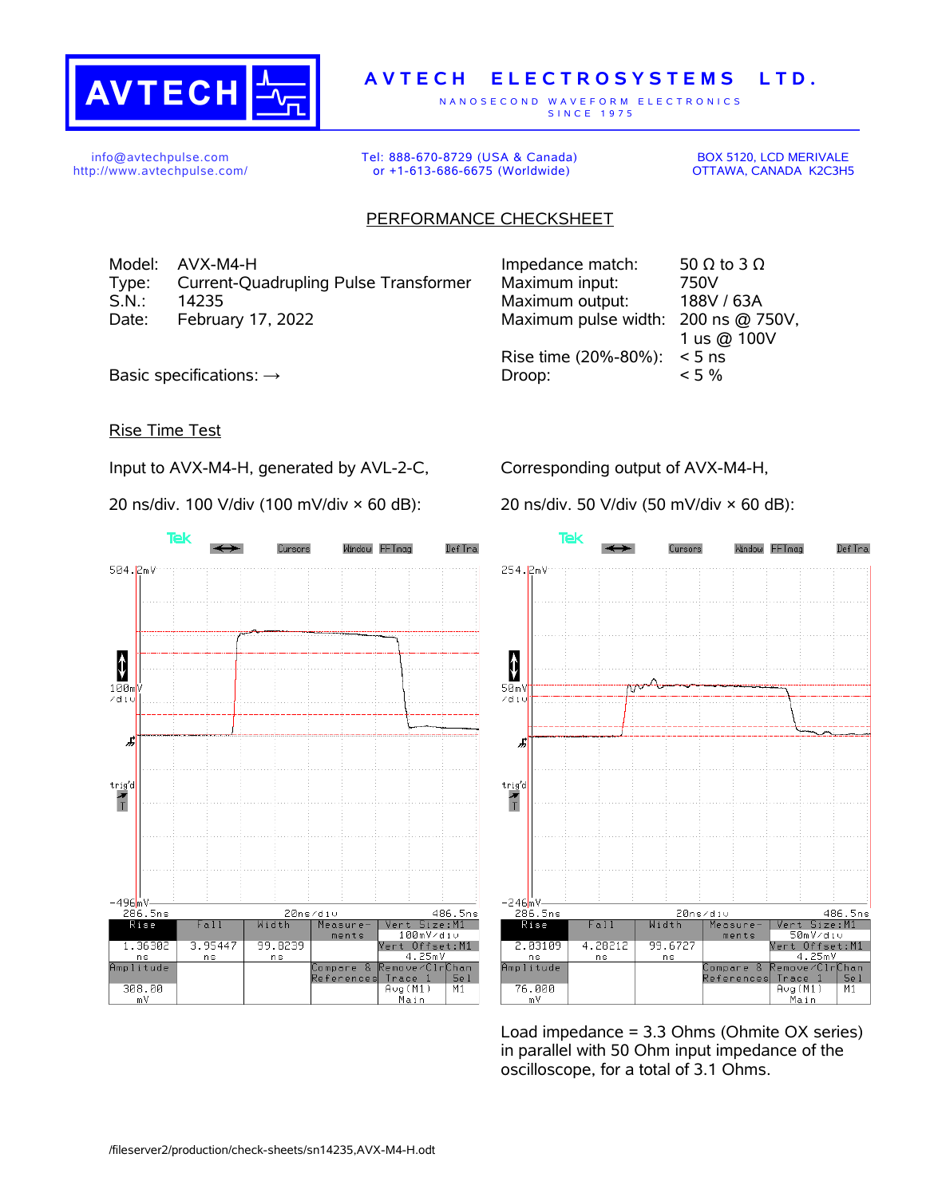

## **A V T E C H E L E C T R O S Y S T E M S L T D .**

N A N O S E C O N D W A V E F O R M E L E C T R O N I C S S IN C E 1975

info@avtechpulse.com http://www.avtechpulse.com/ Tel: 888-670-8729 (USA & Canada) or +1-613-686-6675 (Worldwide)

BOX 5120, LCD MERIVALE OTTAWA, CANADA K2C3H5

## PERFORMANCE CHECKSHEET

Model: AVX-M4-H Type: Current-Quadrupling Pulse Transformer S.N.: 14235 Maximum output: 188V / 63A Date: February 17, 2022

| Impedance match:                    | 50 $\Omega$ to 3 $\Omega$ |
|-------------------------------------|---------------------------|
| Maximum input:                      | 750V                      |
| Maximum output:                     | 188V / 63A                |
| Maximum pulse width: 200 ns @ 750V, |                           |
|                                     | 1 us @ 100V               |
| Rise time (20%-80%):                | $< 5$ ns                  |
| Droop:                              | $< 5 \%$                  |
|                                     |                           |

Basic specifications:  $\rightarrow$ 

Rise Time Test

Input to AVX-M4-H, generated by AVL-2-C,

20 ns/div. 100 V/div (100 mV/div × 60 dB):

Corresponding output of AVX-M4-H,

20 ns/div. 50 V/div (50 mV/div × 60 dB):



**Tek** Window FFTmag Def Tra Cureore 254.2mV  $\ddagger$  $50m$ zdi: Æ  $\begin{array}{c}\n\text{trig'd} \\
\hline\n\text{T}\n\end{array}$  $-246m$ V<br>286.5ns 486.5ns<br>Vert Size:M1<br>50mV/div 20ns/div  $Fall$ Width Measure<sup>-</sup>  $R$ ise ments Vert Offset:M1 2.03109 4.28212 99.6727 4.25mV<br>emove/ClrChan  $n s$ ns amplitude Compare  $\mathcal{R}$ Reference: Trace I  $Se<sub>1</sub>$ 76.000 Aug(M1)<br>Main  $M1$ m V

Load impedance = 3.3 Ohms (Ohmite OX series) in parallel with 50 Ohm input impedance of the oscilloscope, for a total of 3.1 Ohms.